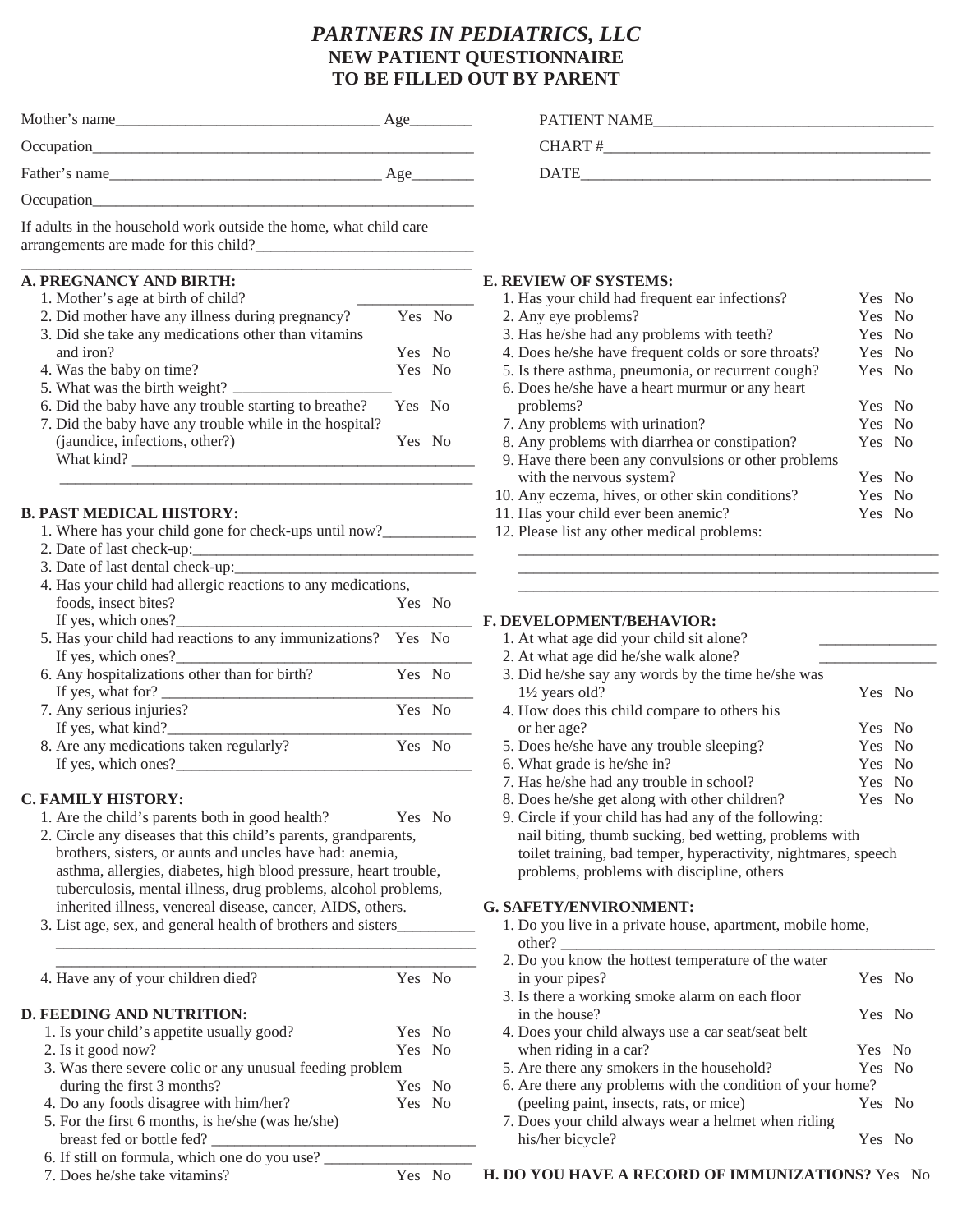# *PARTNERS IN PEDIATRICS, LLC*  **NEW PATIENT QUESTIONNAIRE TO BE FILLED OUT BY PARENT**

| Mother's name | Age |
|---------------|-----|
| Occupation    |     |
| Father's name | Age |
| Occupation    |     |

If adults in the household work outside the home, what child care arrangements are made for this child?

### **A. PREGNANCY AND BIRTH:**

1. Mother's age at birth of child? 2. Did mother have any illness during pregnancy? Yes No 3. Did she take any medications other than vitamins and iron? Yes No 4. Was the baby on time? Yes No 5. What was the birth weight? 6. Did the baby have any trouble starting to breathe? Yes No 7. Did the baby have any trouble while in the hospital? (jaundice, infections, other?) Yes No What kind? \_\_\_\_\_\_\_\_\_\_\_\_\_\_\_\_\_\_\_\_\_\_\_\_\_\_\_\_\_\_\_\_\_\_\_\_\_\_\_\_\_\_\_\_ \_\_\_\_\_\_\_\_\_\_\_\_\_\_\_\_\_\_\_\_\_\_\_\_\_\_\_\_\_\_\_\_\_\_\_\_\_\_\_\_\_\_\_\_\_\_\_\_\_\_\_\_\_  $\overline{\phantom{a}}$  , where  $\overline{\phantom{a}}$ 

\_\_\_\_\_\_\_\_\_\_\_\_\_\_\_\_\_\_\_\_\_\_\_\_\_\_\_\_\_\_\_\_\_\_\_\_\_\_\_\_\_\_\_\_\_\_\_\_\_\_\_\_\_\_\_\_\_\_

## **B. PAST MEDICAL HISTORY:**

| 1. Where has your child gone for check-ups until now?        |        |  |
|--------------------------------------------------------------|--------|--|
| 2. Date of last check-up:                                    |        |  |
| 3. Date of last dental check-up:                             |        |  |
| 4. Has your child had allergic reactions to any medications, |        |  |
| foods, insect bites?                                         | Yes No |  |
| If yes, which ones?                                          |        |  |
| 5. Has your child had reactions to any immunizations? Yes No |        |  |
| If yes, which ones?                                          |        |  |
| 6. Any hospitalizations other than for birth?                | Yes No |  |
| If yes, what for? $\qquad \qquad$                            |        |  |
| 7. Any serious injuries?                                     | Yes No |  |
| If yes, what kind?                                           |        |  |
| 8. Are any medications taken regularly?                      | Yes No |  |
| If yes, which ones?                                          |        |  |

## **C. FAMILY HISTORY:**

- 1. Are the child's parents both in good health? Yes No
- 2. Circle any diseases that this child's parents, grandparents, brothers, sisters, or aunts and uncles have had: anemia, asthma, allergies, diabetes, high blood pressure, heart trouble, tuberculosis, mental illness, drug problems, alcohol problems, inherited illness, venereal disease, cancer, AIDS, others.
- 3. List age, sex, and general health of brothers and sisters\_\_\_\_\_\_\_\_\_\_

| $\Lambda$ |  |
|-----------|--|

\_\_\_\_\_\_\_\_\_\_\_\_\_\_\_\_\_\_\_\_\_\_\_\_\_\_\_\_\_\_\_\_\_\_\_\_\_\_\_\_\_\_\_\_\_\_\_\_\_\_\_\_\_\_

### **D. FEEDING AND NUTRITION:**

| 1. Is your child's appetite usually good?                               | Yes No |  |
|-------------------------------------------------------------------------|--------|--|
| 2. Is it good now?                                                      | Yes No |  |
| 3. Was there severe colic or any unusual feeding problem                |        |  |
| during the first 3 months?                                              | Yes No |  |
| 4. Do any foods disagree with him/her?                                  | Yes No |  |
| 5. For the first 6 months, is he/she (was he/she)                       |        |  |
| breast fed or bottle fed?                                               |        |  |
| $\epsilon$ If $\epsilon$ <sup>11</sup> an farmula which are do you use? |        |  |

- 6. If still on formula, which one do you use?
- 7. Does he/she take vitamins? Yes No

|    | <b>PATIENT NAME</b> |
|----|---------------------|
| __ | CHART#              |
|    | <b>DATE</b>         |

### **E. REVIEW OF SYSTEMS:**

| 1. Has your child had frequent ear infections?       |        | Yes No |
|------------------------------------------------------|--------|--------|
| 2. Any eye problems?                                 | Yes No |        |
| 3. Has he/she had any problems with teeth?           | Yes No |        |
| 4. Does he/she have frequent colds or sore throats?  | Yes No |        |
| 5. Is there asthma, pneumonia, or recurrent cough?   | Yes No |        |
| 6. Does he/she have a heart murmur or any heart      |        |        |
| problems?                                            | Yes No |        |
| 7. Any problems with urination?                      | Yes No |        |
| 8. Any problems with diarrhea or constipation?       | Yes No |        |
| 9. Have there been any convulsions or other problems |        |        |
| with the nervous system?                             | Yes No |        |
| 10. Any eczema, hives, or other skin conditions?     | Yes No |        |
| 11. Has your child ever been anemic?                 | Yes No |        |
| $10.71$ $11.7$ $11.7$ $11.7$                         |        |        |

\_\_\_\_\_\_\_\_\_\_\_\_\_\_\_\_\_\_\_\_\_\_\_\_\_\_\_\_\_\_\_\_\_\_\_\_\_\_\_\_\_\_\_\_\_\_\_\_\_\_\_\_\_\_ \_\_\_\_\_\_\_\_\_\_\_\_\_\_\_\_\_\_\_\_\_\_\_\_\_\_\_\_\_\_\_\_\_\_\_\_\_\_\_\_\_\_\_\_\_\_\_\_\_\_\_\_\_\_ \_\_\_\_\_\_\_\_\_\_\_\_\_\_\_\_\_\_\_\_\_\_\_\_\_\_\_\_\_\_\_\_\_\_\_\_\_\_\_\_\_\_\_\_\_\_\_\_\_\_\_\_\_\_

12. Please list any other medical problems:

### **F. DEVELOPMENT/BEHAVIOR:**

| 1. At what age did your child sit alone?                       |        |  |
|----------------------------------------------------------------|--------|--|
| 2. At what age did he/she walk alone?                          |        |  |
| 3. Did he/she say any words by the time he/she was             |        |  |
| $1\frac{1}{2}$ years old?                                      | Yes No |  |
| 4. How does this child compare to others his                   |        |  |
| or her age?                                                    | Yes No |  |
| 5. Does he/she have any trouble sleeping?                      | Yes No |  |
| 6. What grade is he/she in?                                    | Yes No |  |
| 7. Has he/she had any trouble in school?                       | Yes No |  |
| 8. Does he/she get along with other children?                  | Yes No |  |
| 9. Circle if your child has had any of the following:          |        |  |
| nail biting, thumb sucking, bed wetting, problems with         |        |  |
| toilet training, bad temper, hyperactivity, nightmares, speech |        |  |
| problems, problems with discipline, others                     |        |  |

1. Do you live in a private house, apartment, mobile home, other? \_\_\_\_\_\_\_\_\_\_\_\_\_\_\_\_\_\_\_\_\_\_\_\_\_\_\_\_\_\_\_\_\_\_\_\_\_\_\_\_\_\_\_\_\_\_\_\_

| 2. Do you know the hottest temperature of the water        |        |  |
|------------------------------------------------------------|--------|--|
| in your pipes?                                             | Yes No |  |
| 3. Is there a working smoke alarm on each floor            |        |  |
| in the house?                                              | Yes No |  |
| 4. Does your child always use a car seat/seat belt         |        |  |
| when riding in a car?                                      | Yes No |  |
| 5. Are there any smokers in the household?                 | Yes No |  |
| 6. Are there any problems with the condition of your home? |        |  |
| (peeling paint, insects, rats, or mice)                    | Yes No |  |
| 7. Does your child always wear a helmet when riding        |        |  |
| his/her bicycle?                                           | Yes No |  |